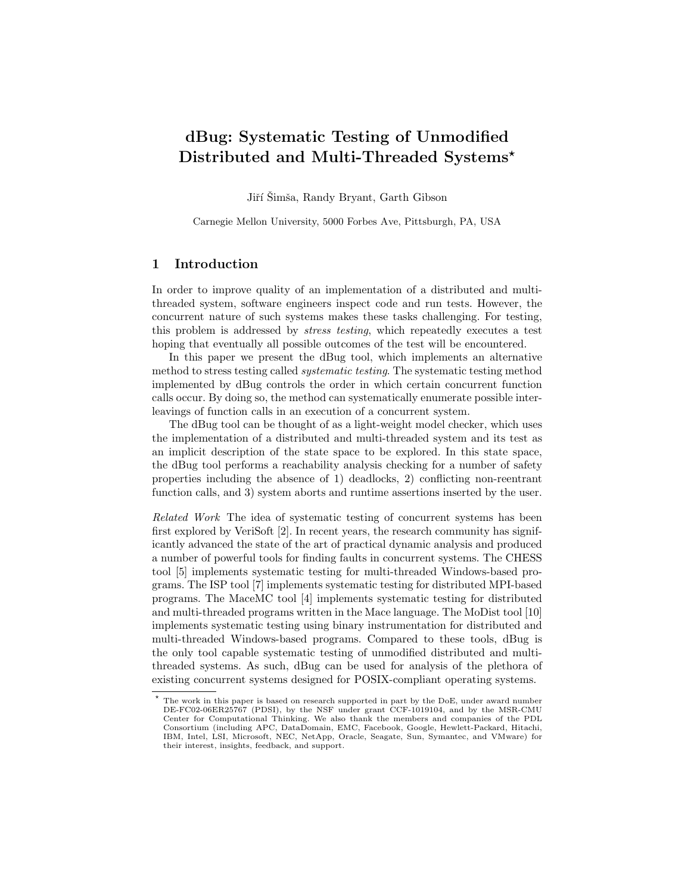# dBug: Systematic Testing of Unmodified Distributed and Multi-Threaded Systems<sup>\*</sup>

Jiří Šimša, Randy Bryant, Garth Gibson

Carnegie Mellon University, 5000 Forbes Ave, Pittsburgh, PA, USA

## 1 Introduction

In order to improve quality of an implementation of a distributed and multithreaded system, software engineers inspect code and run tests. However, the concurrent nature of such systems makes these tasks challenging. For testing, this problem is addressed by stress testing, which repeatedly executes a test hoping that eventually all possible outcomes of the test will be encountered.

In this paper we present the dBug tool, which implements an alternative method to stress testing called systematic testing. The systematic testing method implemented by dBug controls the order in which certain concurrent function calls occur. By doing so, the method can systematically enumerate possible interleavings of function calls in an execution of a concurrent system.

The dBug tool can be thought of as a light-weight model checker, which uses the implementation of a distributed and multi-threaded system and its test as an implicit description of the state space to be explored. In this state space, the dBug tool performs a reachability analysis checking for a number of safety properties including the absence of 1) deadlocks, 2) conflicting non-reentrant function calls, and 3) system aborts and runtime assertions inserted by the user.

Related Work The idea of systematic testing of concurrent systems has been first explored by VeriSoft [2]. In recent years, the research community has significantly advanced the state of the art of practical dynamic analysis and produced a number of powerful tools for finding faults in concurrent systems. The CHESS tool [5] implements systematic testing for multi-threaded Windows-based programs. The ISP tool [7] implements systematic testing for distributed MPI-based programs. The MaceMC tool [4] implements systematic testing for distributed and multi-threaded programs written in the Mace language. The MoDist tool [10] implements systematic testing using binary instrumentation for distributed and multi-threaded Windows-based programs. Compared to these tools, dBug is the only tool capable systematic testing of unmodified distributed and multithreaded systems. As such, dBug can be used for analysis of the plethora of existing concurrent systems designed for POSIX-compliant operating systems.

<sup>?</sup> The work in this paper is based on research supported in part by the DoE, under award number DE-FC02-06ER25767 (PDSI), by the NSF under grant CCF-1019104, and by the MSR-CMU Center for Computational Thinking. We also thank the members and companies of the PDL Consortium (including APC, DataDomain, EMC, Facebook, Google, Hewlett-Packard, Hitachi, IBM, Intel, LSI, Microsoft, NEC, NetApp, Oracle, Seagate, Sun, Symantec, and VMware) for their interest, insights, feedback, and support.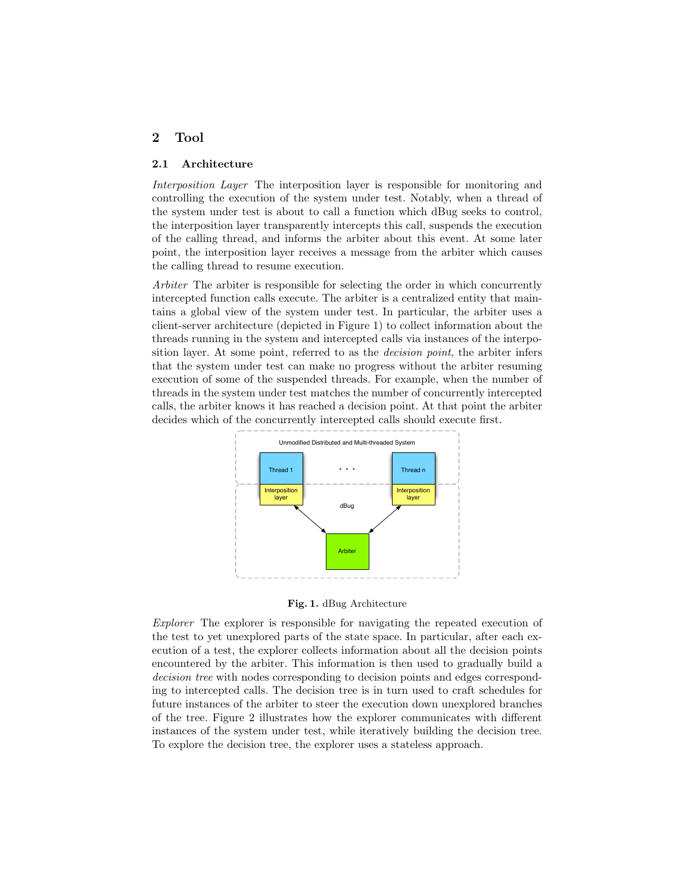# 2 Tool

#### 2.1 Architecture

Interposition Layer The interposition layer is responsible for monitoring and controlling the execution of the system under test. Notably, when a thread of the system under test is about to call a function which dBug seeks to control, the interposition layer transparently intercepts this call, suspends the execution of the calling thread, and informs the arbiter about this event. At some later point, the interposition layer receives a message from the arbiter which causes the calling thread to resume execution.

Arbiter The arbiter is responsible for selecting the order in which concurrently intercepted function calls execute. The arbiter is a centralized entity that maintains a global view of the system under test. In particular, the arbiter uses a client-server architecture (depicted in Figure 1) to collect information about the threads running in the system and intercepted calls via instances of the interposition layer. At some point, referred to as the *decision point*, the arbiter infers that the system under test can make no progress without the arbiter resuming execution of some of the suspended threads. For example, when the number of threads in the system under test matches the number of concurrently intercepted calls, the arbiter knows it has reached a decision point. At that point the arbiter decides which of the concurrently intercepted calls should execute first.



Fig. 1. dBug Architecture

Explorer The explorer is responsible for navigating the repeated execution of the test to yet unexplored parts of the state space. In particular, after each execution of a test, the explorer collects information about all the decision points encountered by the arbiter. This information is then used to gradually build a decision tree with nodes corresponding to decision points and edges corresponding to intercepted calls. The decision tree is in turn used to craft schedules for future instances of the arbiter to steer the execution down unexplored branches of the tree. Figure 2 illustrates how the explorer communicates with different instances of the system under test, while iteratively building the decision tree. To explore the decision tree, the explorer uses a stateless approach.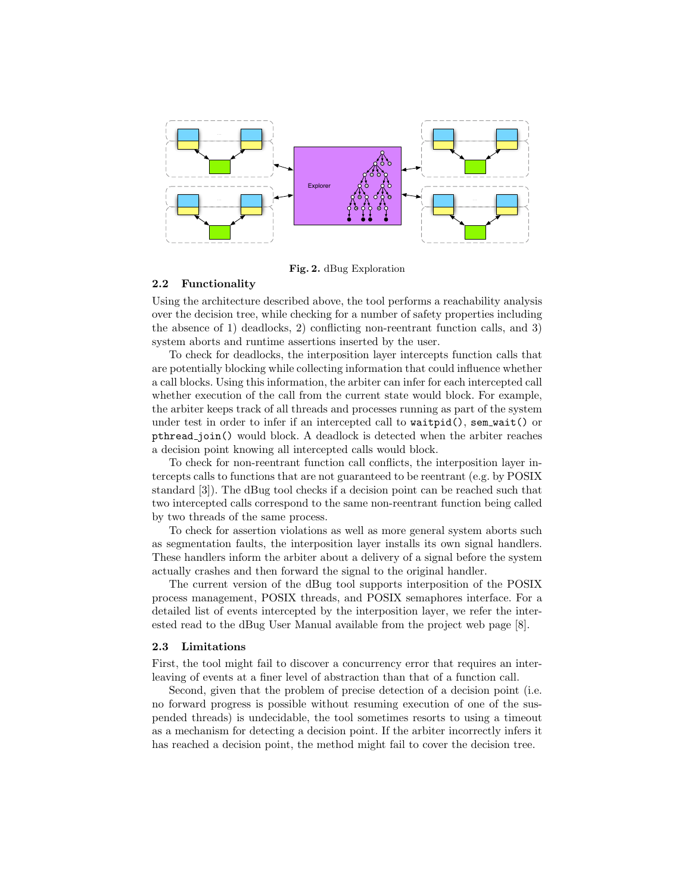

Fig. 2. dBug Exploration

#### 2.2 Functionality

Using the architecture described above, the tool performs a reachability analysis over the decision tree, while checking for a number of safety properties including the absence of 1) deadlocks, 2) conflicting non-reentrant function calls, and 3) system aborts and runtime assertions inserted by the user.

To check for deadlocks, the interposition layer intercepts function calls that are potentially blocking while collecting information that could influence whether a call blocks. Using this information, the arbiter can infer for each intercepted call whether execution of the call from the current state would block. For example, the arbiter keeps track of all threads and processes running as part of the system under test in order to infer if an intercepted call to  $\text{wait}($ , sem  $\text{wait}($  or pthread join() would block. A deadlock is detected when the arbiter reaches a decision point knowing all intercepted calls would block.

To check for non-reentrant function call conflicts, the interposition layer intercepts calls to functions that are not guaranteed to be reentrant (e.g. by POSIX standard [3]). The dBug tool checks if a decision point can be reached such that two intercepted calls correspond to the same non-reentrant function being called by two threads of the same process.

To check for assertion violations as well as more general system aborts such as segmentation faults, the interposition layer installs its own signal handlers. These handlers inform the arbiter about a delivery of a signal before the system actually crashes and then forward the signal to the original handler.

The current version of the dBug tool supports interposition of the POSIX process management, POSIX threads, and POSIX semaphores interface. For a detailed list of events intercepted by the interposition layer, we refer the interested read to the dBug User Manual available from the project web page [8].

#### 2.3 Limitations

First, the tool might fail to discover a concurrency error that requires an interleaving of events at a finer level of abstraction than that of a function call.

Second, given that the problem of precise detection of a decision point (i.e. no forward progress is possible without resuming execution of one of the suspended threads) is undecidable, the tool sometimes resorts to using a timeout as a mechanism for detecting a decision point. If the arbiter incorrectly infers it has reached a decision point, the method might fail to cover the decision tree.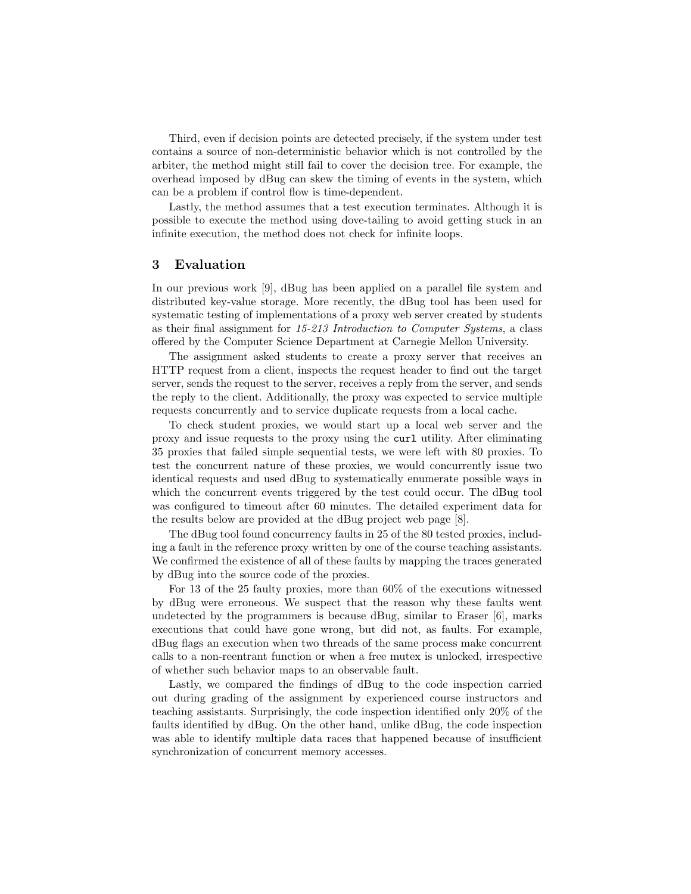Third, even if decision points are detected precisely, if the system under test contains a source of non-deterministic behavior which is not controlled by the arbiter, the method might still fail to cover the decision tree. For example, the overhead imposed by dBug can skew the timing of events in the system, which can be a problem if control flow is time-dependent.

Lastly, the method assumes that a test execution terminates. Although it is possible to execute the method using dove-tailing to avoid getting stuck in an infinite execution, the method does not check for infinite loops.

## 3 Evaluation

In our previous work [9], dBug has been applied on a parallel file system and distributed key-value storage. More recently, the dBug tool has been used for systematic testing of implementations of a proxy web server created by students as their final assignment for 15-213 Introduction to Computer Systems, a class offered by the Computer Science Department at Carnegie Mellon University.

The assignment asked students to create a proxy server that receives an HTTP request from a client, inspects the request header to find out the target server, sends the request to the server, receives a reply from the server, and sends the reply to the client. Additionally, the proxy was expected to service multiple requests concurrently and to service duplicate requests from a local cache.

To check student proxies, we would start up a local web server and the proxy and issue requests to the proxy using the curl utility. After eliminating 35 proxies that failed simple sequential tests, we were left with 80 proxies. To test the concurrent nature of these proxies, we would concurrently issue two identical requests and used dBug to systematically enumerate possible ways in which the concurrent events triggered by the test could occur. The dBug tool was configured to timeout after 60 minutes. The detailed experiment data for the results below are provided at the dBug project web page [8].

The dBug tool found concurrency faults in 25 of the 80 tested proxies, including a fault in the reference proxy written by one of the course teaching assistants. We confirmed the existence of all of these faults by mapping the traces generated by dBug into the source code of the proxies.

For 13 of the 25 faulty proxies, more than 60% of the executions witnessed by dBug were erroneous. We suspect that the reason why these faults went undetected by the programmers is because dBug, similar to Eraser [6], marks executions that could have gone wrong, but did not, as faults. For example, dBug flags an execution when two threads of the same process make concurrent calls to a non-reentrant function or when a free mutex is unlocked, irrespective of whether such behavior maps to an observable fault.

Lastly, we compared the findings of dBug to the code inspection carried out during grading of the assignment by experienced course instructors and teaching assistants. Surprisingly, the code inspection identified only 20% of the faults identified by dBug. On the other hand, unlike dBug, the code inspection was able to identify multiple data races that happened because of insufficient synchronization of concurrent memory accesses.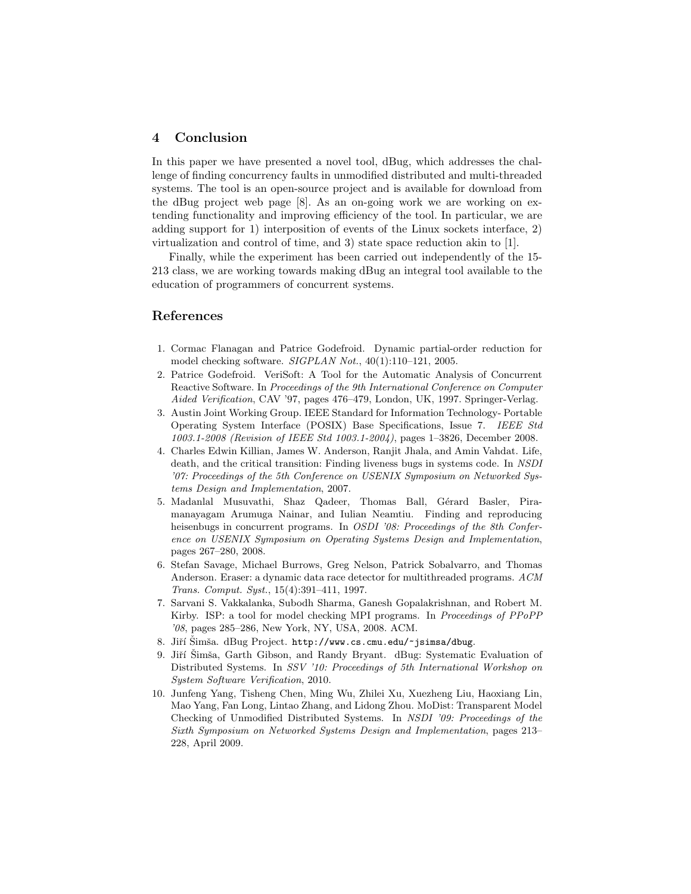# 4 Conclusion

In this paper we have presented a novel tool, dBug, which addresses the challenge of finding concurrency faults in unmodified distributed and multi-threaded systems. The tool is an open-source project and is available for download from the dBug project web page [8]. As an on-going work we are working on extending functionality and improving efficiency of the tool. In particular, we are adding support for 1) interposition of events of the Linux sockets interface, 2) virtualization and control of time, and 3) state space reduction akin to [1].

Finally, while the experiment has been carried out independently of the 15- 213 class, we are working towards making dBug an integral tool available to the education of programmers of concurrent systems.

## References

- 1. Cormac Flanagan and Patrice Godefroid. Dynamic partial-order reduction for model checking software. SIGPLAN Not., 40(1):110–121, 2005.
- 2. Patrice Godefroid. VeriSoft: A Tool for the Automatic Analysis of Concurrent Reactive Software. In Proceedings of the 9th International Conference on Computer Aided Verification, CAV '97, pages 476–479, London, UK, 1997. Springer-Verlag.
- 3. Austin Joint Working Group. IEEE Standard for Information Technology- Portable Operating System Interface (POSIX) Base Specifications, Issue 7. IEEE Std 1003.1-2008 (Revision of IEEE Std 1003.1-2004), pages 1–3826, December 2008.
- 4. Charles Edwin Killian, James W. Anderson, Ranjit Jhala, and Amin Vahdat. Life, death, and the critical transition: Finding liveness bugs in systems code. In NSDI '07: Proceedings of the 5th Conference on USENIX Symposium on Networked Systems Design and Implementation, 2007.
- 5. Madanlal Musuvathi, Shaz Qadeer, Thomas Ball, Gérard Basler, Piramanayagam Arumuga Nainar, and Iulian Neamtiu. Finding and reproducing heisenbugs in concurrent programs. In OSDI '08: Proceedings of the 8th Conference on USENIX Symposium on Operating Systems Design and Implementation, pages 267–280, 2008.
- 6. Stefan Savage, Michael Burrows, Greg Nelson, Patrick Sobalvarro, and Thomas Anderson. Eraser: a dynamic data race detector for multithreaded programs. ACM Trans. Comput. Syst., 15(4):391–411, 1997.
- 7. Sarvani S. Vakkalanka, Subodh Sharma, Ganesh Gopalakrishnan, and Robert M. Kirby. ISP: a tool for model checking MPI programs. In Proceedings of PPoPP '08, pages 285–286, New York, NY, USA, 2008. ACM.
- 8. Jiří Šimša. dBug Project. http://www.cs.cmu.edu/~jsimsa/dbug.
- 9. Jiří Šimša, Garth Gibson, and Randy Bryant. dBug: Systematic Evaluation of Distributed Systems. In SSV '10: Proceedings of 5th International Workshop on System Software Verification, 2010.
- 10. Junfeng Yang, Tisheng Chen, Ming Wu, Zhilei Xu, Xuezheng Liu, Haoxiang Lin, Mao Yang, Fan Long, Lintao Zhang, and Lidong Zhou. MoDist: Transparent Model Checking of Unmodified Distributed Systems. In NSDI '09: Proceedings of the Sixth Symposium on Networked Systems Design and Implementation, pages 213– 228, April 2009.